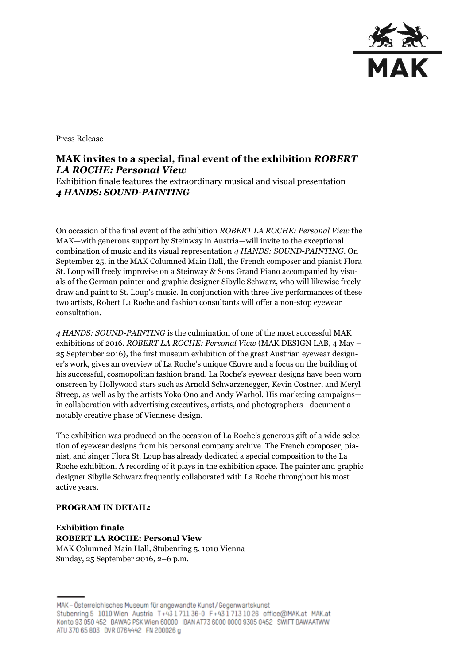

Press Release

## **MAK invites to a special, final event of the exhibition** *ROBERT LA ROCHE: Personal View*

Exhibition finale features the extraordinary musical and visual presentation *4 HANDS: SOUND-PAINTING*

On occasion of the final event of the exhibition *ROBERT LA ROCHE: Personal View* the MAK—with generous support by Steinway in Austria—will invite to the exceptional combination of music and its visual representation *4 HANDS: SOUND-PAINTING*. On September 25, in the MAK Columned Main Hall, the French composer and pianist Flora St. Loup will freely improvise on a Steinway & Sons Grand Piano accompanied by visuals of the German painter and graphic designer Sibylle Schwarz, who will likewise freely draw and paint to St. Loup's music. In conjunction with three live performances of these two artists, Robert La Roche and fashion consultants will offer a non-stop eyewear consultation.

*4 HANDS: SOUND-PAINTING* is the culmination of one of the most successful MAK exhibitions of 2016. *ROBERT LA ROCHE: Personal View* (MAK DESIGN LAB, 4 May – 25 September 2016), the first museum exhibition of the great Austrian eyewear designer's work, gives an overview of La Roche's unique Œuvre and a focus on the building of his successful, cosmopolitan fashion brand. La Roche's eyewear designs have been worn onscreen by Hollywood stars such as Arnold Schwarzenegger, Kevin Costner, and Meryl Streep, as well as by the artists Yoko Ono and Andy Warhol. His marketing campaigns in collaboration with advertising executives, artists, and photographers—document a notably creative phase of Viennese design.

The exhibition was produced on the occasion of La Roche's generous gift of a wide selection of eyewear designs from his personal company archive. The French composer, pianist, and singer Flora St. Loup has already dedicated a special composition to the La Roche exhibition. A recording of it plays in the exhibition space. The painter and graphic designer Sibylle Schwarz frequently collaborated with La Roche throughout his most active years.

## **PROGRAM IN DETAIL:**

**Exhibition finale ROBERT LA ROCHE: Personal View** MAK Columned Main Hall, Stubenring 5, 1010 Vienna Sunday, 25 September 2016, 2–6 p.m.

MAK - Österreichisches Museum für angewandte Kunst / Gegenwartskunst Stubenring 5 1010 Wien Austria T+43 1 711 36-0 F+43 1 713 10 26 office@MAK.at MAK.at Konto 93 050 452 BAWAG PSK Wien 60000 IBAN AT73 6000 0000 9305 0452 SWIFT BAWAATWW ATU 370 65 803 DVR 0764442 FN 200026 g